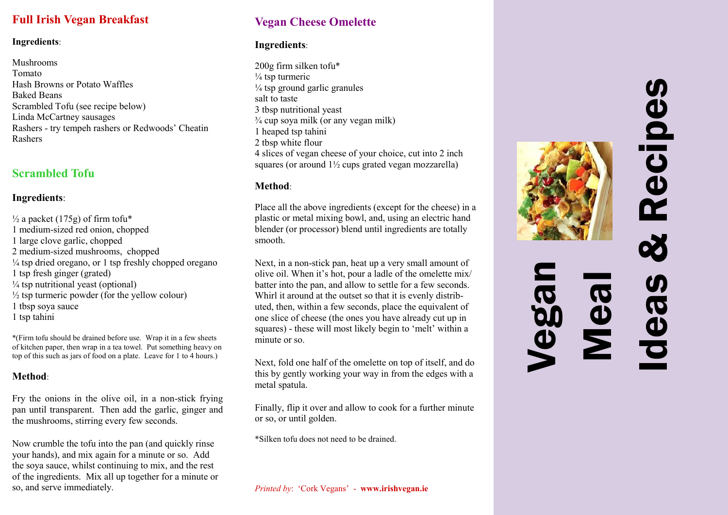## **Full Irish Vegan Breakfast**

#### **Ingredients**:

Mushrooms Tomato Hash Browns or Potato Waffles Baked Beans Scrambled Tofu (see recipe below) Linda McCartney sausages Rashers - try tempeh rashers or Redwoods' Cheatin Rashers

## **Scrambled Tofu**

#### **Ingredients**:

 $\frac{1}{2}$  a packet (175g) of firm tofu\* 1 medium-sized red onion, chopped 1 large clove garlic, chopped 2 medium-sized mushrooms, chopped  $\frac{1}{4}$  tsp dried oregano, or 1 tsp freshly chopped oregano 1 tsp fresh ginger (grated)  $\frac{1}{4}$  tsp nutritional yeast (optional)  $\frac{1}{2}$  tsp turmeric powder (for the yellow colour) 1 tbsp soya sauce 1 tsp tahini

\*(Firm tofu should be drained before use. Wrap it in a few sheets of kitchen paper, then wrap in a tea towel. Put something heavy on top of this such as jars of food on a plate. Leave for 1 to 4 hours.)

#### **Method**:

Fry the onions in the olive oil, in a non-stick frying pan until transparent. Then add the garlic, ginger and the mushrooms, stirring every few seconds.

Now crumble the tofu into the pan (and quickly rinse your hands), and mix again for a minute or so. Add the soya sauce, whilst continuing to mix, and the rest of the ingredients. Mix all up together for a minute or so, and serve immediately.

## **Vegan Cheese Omelette**

#### **Ingredients**:

200g firm silken tofu\*  $\frac{1}{4}$  tsp turmeric  $\frac{1}{4}$  tsp ground garlic granules salt to taste 3 tbsp nutritional yeast  $\frac{3}{4}$  cup soya milk (or any vegan milk) 1 heaped tsp tahini 2 tbsp white flour 4 slices of vegan cheese of your choice, cut into 2 inch squares (or around  $1\frac{1}{2}$  cups grated vegan mozzarella)

#### **Method**:

Place all the above ingredients (except for the cheese) in a plastic or metal mixing bowl, and, using an electric hand blender (or processor) blend until ingredients are totally smooth.

Next, in a non-stick pan, heat up a very small amount of olive oil. When it's hot, pour a ladle of the omelette mix/ batter into the pan, and allow to settle for a few seconds. Whirl it around at the outset so that it is evenly distributed, then, within a few seconds, place the equivalent of one slice of cheese (the ones you have already cut up in squares) - these will most likely begin to 'melt' within a minute or so.

Next, fold one half of the omelette on top of itself, and do this by gently working your way in from the edges with a metal spatula.

Finally, flip it over and allow to cook for a further minute or so, or until golden.

\*Silken tofu does not need to be drained.

*Printed by*: 'Cork Vegans' - **www.irishvegan.ie**



# Vegan  $\mathbf{\tilde{z}}$

Ideas & Recipes

 $\boldsymbol{\sigma}$ 

 $\ddot{\mathbf{c}}$ 

**Recipes**